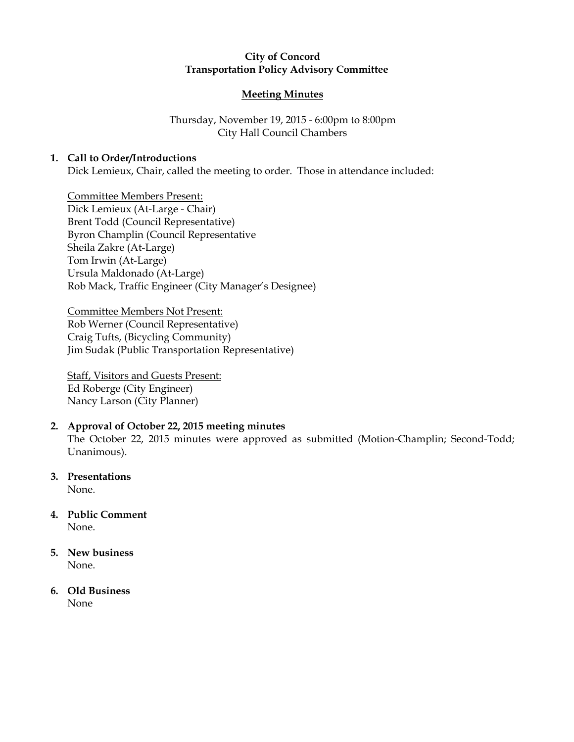# City of Concord Transportation Policy Advisory Committee

## Meeting Minutes

# Thursday, November 19, 2015 - 6:00pm to 8:00pm City Hall Council Chambers

# 1. Call to Order/Introductions

Dick Lemieux, Chair, called the meeting to order. Those in attendance included:

Committee Members Present: Dick Lemieux (At-Large - Chair) Brent Todd (Council Representative) Byron Champlin (Council Representative Sheila Zakre (At-Large) Tom Irwin (At-Large) Ursula Maldonado (At-Large) Rob Mack, Traffic Engineer (City Manager's Designee)

Committee Members Not Present: Rob Werner (Council Representative) Craig Tufts, (Bicycling Community) Jim Sudak (Public Transportation Representative)

Staff, Visitors and Guests Present: Ed Roberge (City Engineer) Nancy Larson (City Planner)

## 2. Approval of October 22, 2015 meeting minutes

The October 22, 2015 minutes were approved as submitted (Motion-Champlin; Second-Todd; Unanimous).

3. Presentations None.

4. Public Comment None.

#### 5. New business None.

#### 6. Old Business None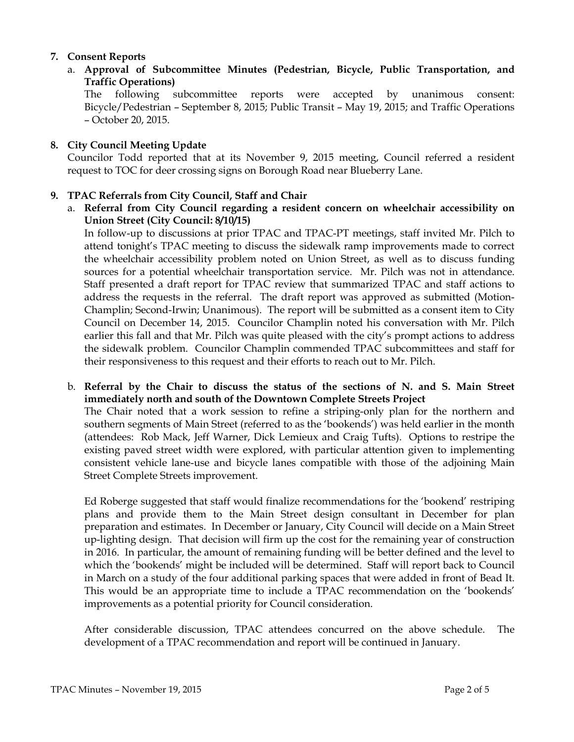# 7. Consent Reports

a. Approval of Subcommittee Minutes (Pedestrian, Bicycle, Public Transportation, and Traffic Operations)

The following subcommittee reports were accepted by unanimous consent: Bicycle/Pedestrian – September 8, 2015; Public Transit – May 19, 2015; and Traffic Operations – October 20, 2015.

# 8. City Council Meeting Update

Councilor Todd reported that at its November 9, 2015 meeting, Council referred a resident request to TOC for deer crossing signs on Borough Road near Blueberry Lane.

# 9. TPAC Referrals from City Council, Staff and Chair

a. Referral from City Council regarding a resident concern on wheelchair accessibility on Union Street (City Council: 8/10/15)

In follow-up to discussions at prior TPAC and TPAC-PT meetings, staff invited Mr. Pilch to attend tonight's TPAC meeting to discuss the sidewalk ramp improvements made to correct the wheelchair accessibility problem noted on Union Street, as well as to discuss funding sources for a potential wheelchair transportation service. Mr. Pilch was not in attendance. Staff presented a draft report for TPAC review that summarized TPAC and staff actions to address the requests in the referral. The draft report was approved as submitted (Motion-Champlin; Second-Irwin; Unanimous). The report will be submitted as a consent item to City Council on December 14, 2015. Councilor Champlin noted his conversation with Mr. Pilch earlier this fall and that Mr. Pilch was quite pleased with the city's prompt actions to address the sidewalk problem. Councilor Champlin commended TPAC subcommittees and staff for their responsiveness to this request and their efforts to reach out to Mr. Pilch.

b. Referral by the Chair to discuss the status of the sections of N. and S. Main Street immediately north and south of the Downtown Complete Streets Project The Chair noted that a work session to refine a striping-only plan for the northern and southern segments of Main Street (referred to as the 'bookends') was held earlier in the month (attendees: Rob Mack, Jeff Warner, Dick Lemieux and Craig Tufts). Options to restripe the existing paved street width were explored, with particular attention given to implementing consistent vehicle lane-use and bicycle lanes compatible with those of the adjoining Main Street Complete Streets improvement.

Ed Roberge suggested that staff would finalize recommendations for the 'bookend' restriping plans and provide them to the Main Street design consultant in December for plan preparation and estimates. In December or January, City Council will decide on a Main Street up-lighting design. That decision will firm up the cost for the remaining year of construction in 2016. In particular, the amount of remaining funding will be better defined and the level to which the 'bookends' might be included will be determined. Staff will report back to Council in March on a study of the four additional parking spaces that were added in front of Bead It. This would be an appropriate time to include a TPAC recommendation on the 'bookends' improvements as a potential priority for Council consideration.

After considerable discussion, TPAC attendees concurred on the above schedule. The development of a TPAC recommendation and report will be continued in January.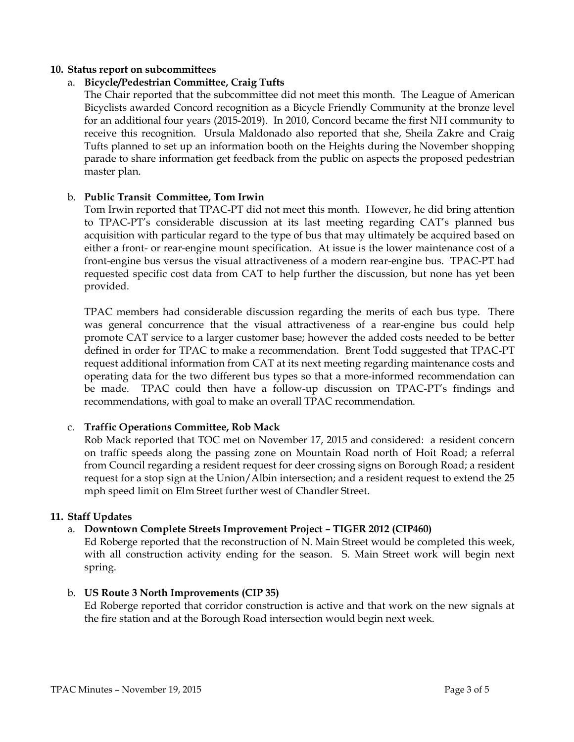### 10. Status report on subcommittees

## a. Bicycle/Pedestrian Committee, Craig Tufts

The Chair reported that the subcommittee did not meet this month. The League of American Bicyclists awarded Concord recognition as a Bicycle Friendly Community at the bronze level for an additional four years (2015-2019). In 2010, Concord became the first NH community to receive this recognition. Ursula Maldonado also reported that she, Sheila Zakre and Craig Tufts planned to set up an information booth on the Heights during the November shopping parade to share information get feedback from the public on aspects the proposed pedestrian master plan.

### b. Public Transit Committee, Tom Irwin

Tom Irwin reported that TPAC-PT did not meet this month. However, he did bring attention to TPAC-PT's considerable discussion at its last meeting regarding CAT's planned bus acquisition with particular regard to the type of bus that may ultimately be acquired based on either a front- or rear-engine mount specification. At issue is the lower maintenance cost of a front-engine bus versus the visual attractiveness of a modern rear-engine bus. TPAC-PT had requested specific cost data from CAT to help further the discussion, but none has yet been provided.

TPAC members had considerable discussion regarding the merits of each bus type. There was general concurrence that the visual attractiveness of a rear-engine bus could help promote CAT service to a larger customer base; however the added costs needed to be better defined in order for TPAC to make a recommendation. Brent Todd suggested that TPAC-PT request additional information from CAT at its next meeting regarding maintenance costs and operating data for the two different bus types so that a more-informed recommendation can be made. TPAC could then have a follow-up discussion on TPAC-PT's findings and recommendations, with goal to make an overall TPAC recommendation.

#### c. Traffic Operations Committee, Rob Mack

Rob Mack reported that TOC met on November 17, 2015 and considered: a resident concern on traffic speeds along the passing zone on Mountain Road north of Hoit Road; a referral from Council regarding a resident request for deer crossing signs on Borough Road; a resident request for a stop sign at the Union/Albin intersection; and a resident request to extend the 25 mph speed limit on Elm Street further west of Chandler Street.

#### 11. Staff Updates

## a. Downtown Complete Streets Improvement Project – TIGER 2012 (CIP460)

Ed Roberge reported that the reconstruction of N. Main Street would be completed this week, with all construction activity ending for the season. S. Main Street work will begin next spring.

#### b. US Route 3 North Improvements (CIP 35)

Ed Roberge reported that corridor construction is active and that work on the new signals at the fire station and at the Borough Road intersection would begin next week.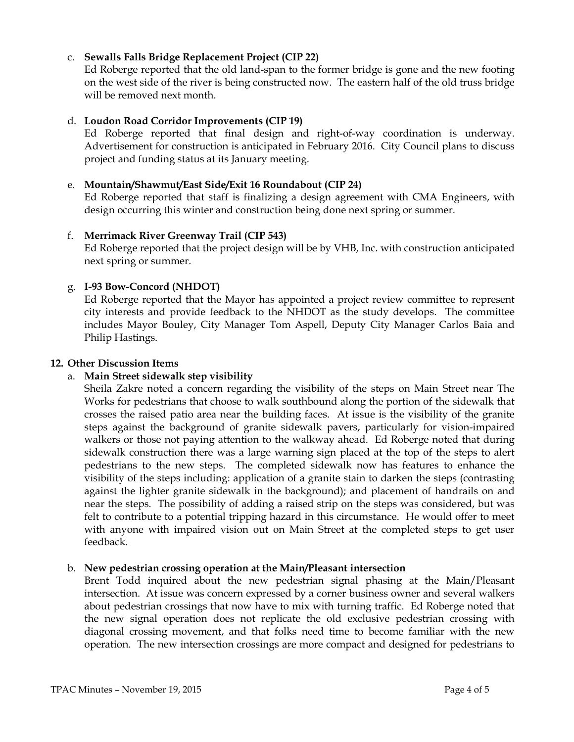# c. Sewalls Falls Bridge Replacement Project (CIP 22)

Ed Roberge reported that the old land-span to the former bridge is gone and the new footing on the west side of the river is being constructed now. The eastern half of the old truss bridge will be removed next month.

## d. Loudon Road Corridor Improvements (CIP 19)

Ed Roberge reported that final design and right-of-way coordination is underway. Advertisement for construction is anticipated in February 2016. City Council plans to discuss project and funding status at its January meeting.

## e. Mountain/Shawmut/East Side/Exit 16 Roundabout (CIP 24)

Ed Roberge reported that staff is finalizing a design agreement with CMA Engineers, with design occurring this winter and construction being done next spring or summer.

### f. Merrimack River Greenway Trail (CIP 543)

Ed Roberge reported that the project design will be by VHB, Inc. with construction anticipated next spring or summer.

## g. I-93 Bow-Concord (NHDOT)

Ed Roberge reported that the Mayor has appointed a project review committee to represent city interests and provide feedback to the NHDOT as the study develops. The committee includes Mayor Bouley, City Manager Tom Aspell, Deputy City Manager Carlos Baia and Philip Hastings.

#### 12. Other Discussion Items

## a. Main Street sidewalk step visibility

Sheila Zakre noted a concern regarding the visibility of the steps on Main Street near The Works for pedestrians that choose to walk southbound along the portion of the sidewalk that crosses the raised patio area near the building faces. At issue is the visibility of the granite steps against the background of granite sidewalk pavers, particularly for vision-impaired walkers or those not paying attention to the walkway ahead. Ed Roberge noted that during sidewalk construction there was a large warning sign placed at the top of the steps to alert pedestrians to the new steps. The completed sidewalk now has features to enhance the visibility of the steps including: application of a granite stain to darken the steps (contrasting against the lighter granite sidewalk in the background); and placement of handrails on and near the steps. The possibility of adding a raised strip on the steps was considered, but was felt to contribute to a potential tripping hazard in this circumstance. He would offer to meet with anyone with impaired vision out on Main Street at the completed steps to get user feedback.

## b. New pedestrian crossing operation at the Main/Pleasant intersection

Brent Todd inquired about the new pedestrian signal phasing at the Main/Pleasant intersection. At issue was concern expressed by a corner business owner and several walkers about pedestrian crossings that now have to mix with turning traffic. Ed Roberge noted that the new signal operation does not replicate the old exclusive pedestrian crossing with diagonal crossing movement, and that folks need time to become familiar with the new operation. The new intersection crossings are more compact and designed for pedestrians to